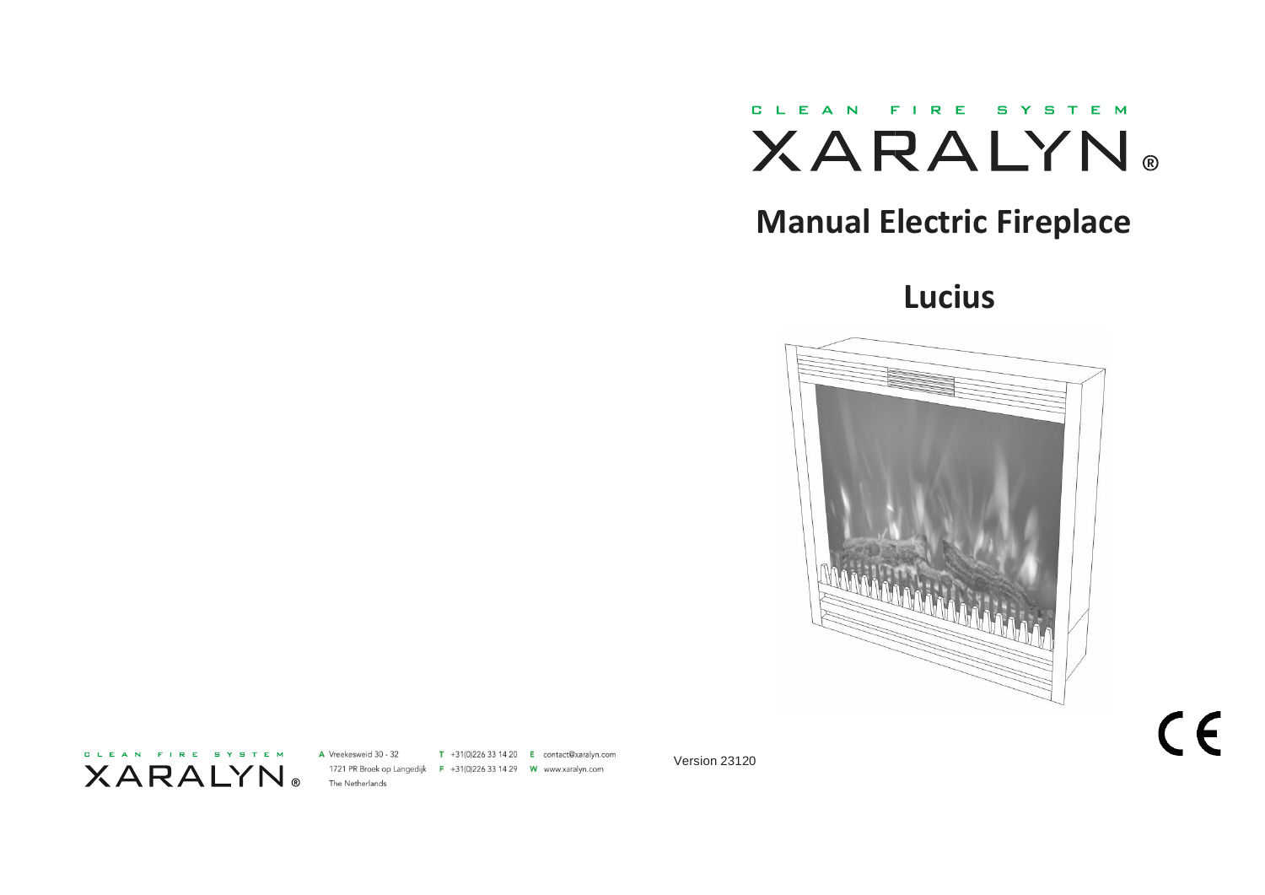

# **Manual Electric Fireplace**

# **Lucius**



CLEAN FIRE SYSTEM **XARALYN**  A Vreekesweid 30 - 32 T +31(0)226 33 14 20  $E$  contact@xaralyn.com 1721 PR Broek op Langedijk F +31(0)226 33 14 29 W www.xaralyn.com The Netherlands

Version 23120

 $C \in$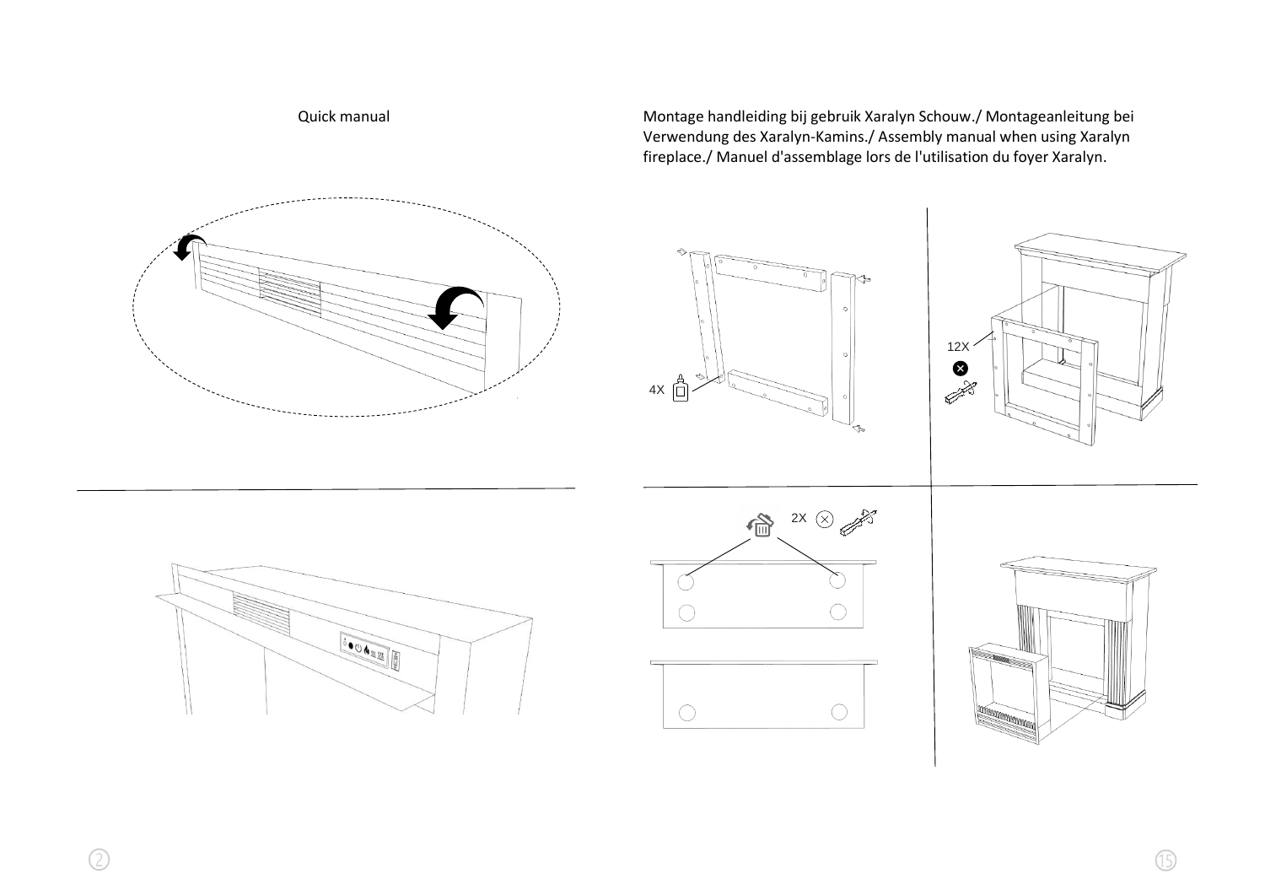

Quick manual **Montage handleiding bij gebruik Xaralyn Schouw**./ Montageanleitung bei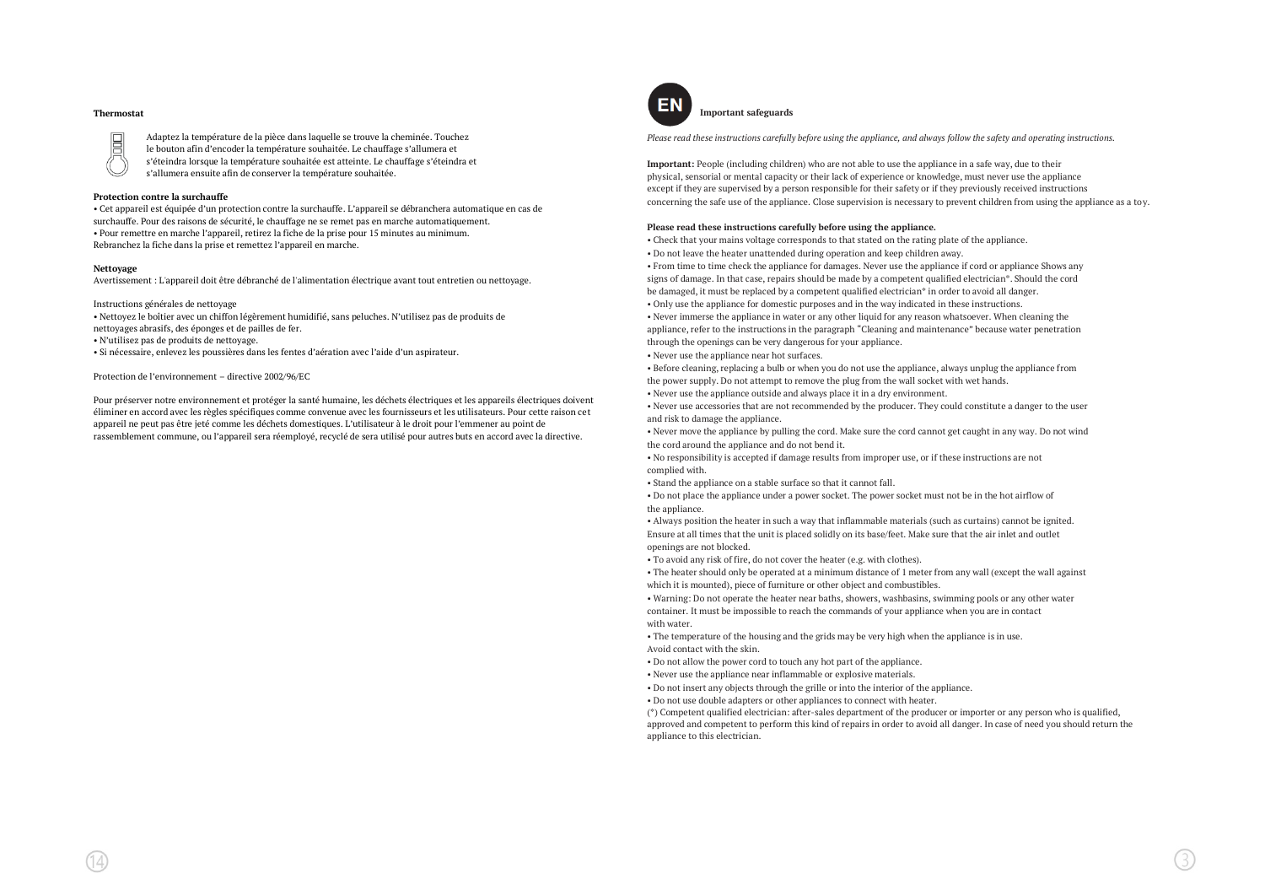# **Thermostat** E

Adaptez la température de la pièce dans laquelle se trouve la cheminée. Touchez le bouton afin d'encoder la température souhaitée. Le chauffage s'allumera et s'éteindra lorsque la température souhaitée est atteinte. Le chauffage s'éteindra et s'allumera ensuite afin de conserver la température souhaitée.

# **Protection contre la surchauffe**

• Cet appareil est équipée d'un protection contre la surchauffe. L'appareil se débranchera automatique en cas de surchauffe. Pour des raisons de sécurité, le chauffage ne se remet pas en marche automatiquement. • Pour remettre en marche l'appareil, retirez la fiche de la prise pour 15 minutes au minimum. Rebranchez la fiche dans la prise et remettez l'appareil en marche.

# **Nettoyage**

Avertissement : L'appareil doit être débranché de l'alimentation électrique avant tout entretien ou nettoyage.

Instructions générales de nettoyage

• Nettoyez le boîtier avec un chiffon légèrement humidifié, sans peluches. N'utilisez pas de produits de nettoyages abrasifs, des éponges et de pailles de fer.

• N'utilisez pas de produits de nettoyage.

• Si nécessaire, enlevez les poussières dans les fentes d'aération avec l'aide d'un aspirateur.

Protection de l'environnement – directive 2002/96/EC

Pour préserver notre environnement et protéger la santé humaine, les déchets électriques et les appareils électriques doivent éliminer en accord avec les règles spécifiques comme convenue avec les fournisseurs et les utilisateurs. Pour cette raison cet appareil ne peut pas être jeté comme les déchets domestiques. L'utilisateur à le droit pour l'emmener au point de rassemblement commune, ou l'appareil sera réemployé, recyclé de sera utilisé pour autres buts en accord avec la directive.



**Important safeguards**

*Please read these instructions carefully before using the appliance, and always follow the safety and operating instructions.*

**Important:** People (including children) who are not able to use the appliance in a safe way, due to their physical, sensorial or mental capacity or their lack of experience or knowledge, must never use the appliance except if they are supervised by a person responsible for their safety or if they previously received instructions concerning the safe use of the appliance. Close supervision is necessary to prevent children from using the appliance as a toy.

# **Please read these instructions carefully before using the appliance.**

• Check that your mains voltage corresponds to that stated on the rating plate of the appliance. • Do not leave the heater unattended during operation and keep children away.

• From time to time check the appliance for damages. Never use the appliance if cord or appliance Shows any signs of damage. In that case, repairs should be made by a competent qualified electrician\*. Should the cord

be damaged, it must be replaced by a competent qualified electrician<sup>\*</sup> in order to avoid all danger.

• Only use the appliance for domestic purposes and in the way indicated in these instructions.

• Never immerse the appliance in water or any other liquid for any reason whatsoever. When cleaning the appliance, refer to the instructions in the paragraph "Cleaning and maintenance" because water penetration through the openings can be very dangerous for your appliance.

• Never use the appliance near hot surfaces.

• Before cleaning, replacing a bulb or when you do not use the appliance, always unplug the appliance from the power supply. Do not attempt to remove the plug from the wall socket with wet hands.

• Never use the appliance outside and always place it in a dry environment.

• Never use accessories that are not recommended by the producer. They could constitute a danger to the user and risk to damage the appliance.

• Never move the appliance by pulling the cord. Make sure the cord cannot get caught in any way. Do not wind the cord around the appliance and do not bend it.

• No responsibility is accepted if damage results from improper use, or if these instructions are not complied with.

• Stand the appliance on a stable surface so that it cannot fall.

• Do not place the appliance under a power socket. The power socket must not be in the hot airflow of the appliance.

• Always position the heater in such a way that inflammable materials (such as curtains) cannot be ignited. Ensure at all times that the unit is placed solidly on its base/feet. Make sure that the air inlet and outlet openings are not blocked.

• To avoid any risk of fire, do not cover the heater (e.g. with clothes).

• The heater should only be operated at a minimum distance of 1 meter from any wall (except the wall against which it is mounted), piece of furniture or other object and combustibles.

• Warning: Do not operate the heater near baths, showers, washbasins, swimming pools or any other water container. It must be impossible to reach the commands of your appliance when you are in contact with water

• The temperature of the housing and the grids may be very high when the appliance is in use. Avoid contact with the skin.

• Do not allow the power cord to touch any hot part of the appliance.

• Never use the appliance near inflammable or explosive materials.

• Do not insert any objects through the grille or into the interior of the appliance.

• Do not use double adapters or other appliances to connect with heater.

 $(*)$  Competent qualified electrician: after-sales department of the producer or importer or any person who is qualified. approved and competent to perform this kind of repairs in order to avoid all danger. In case of need you should return the appliance to this electrician.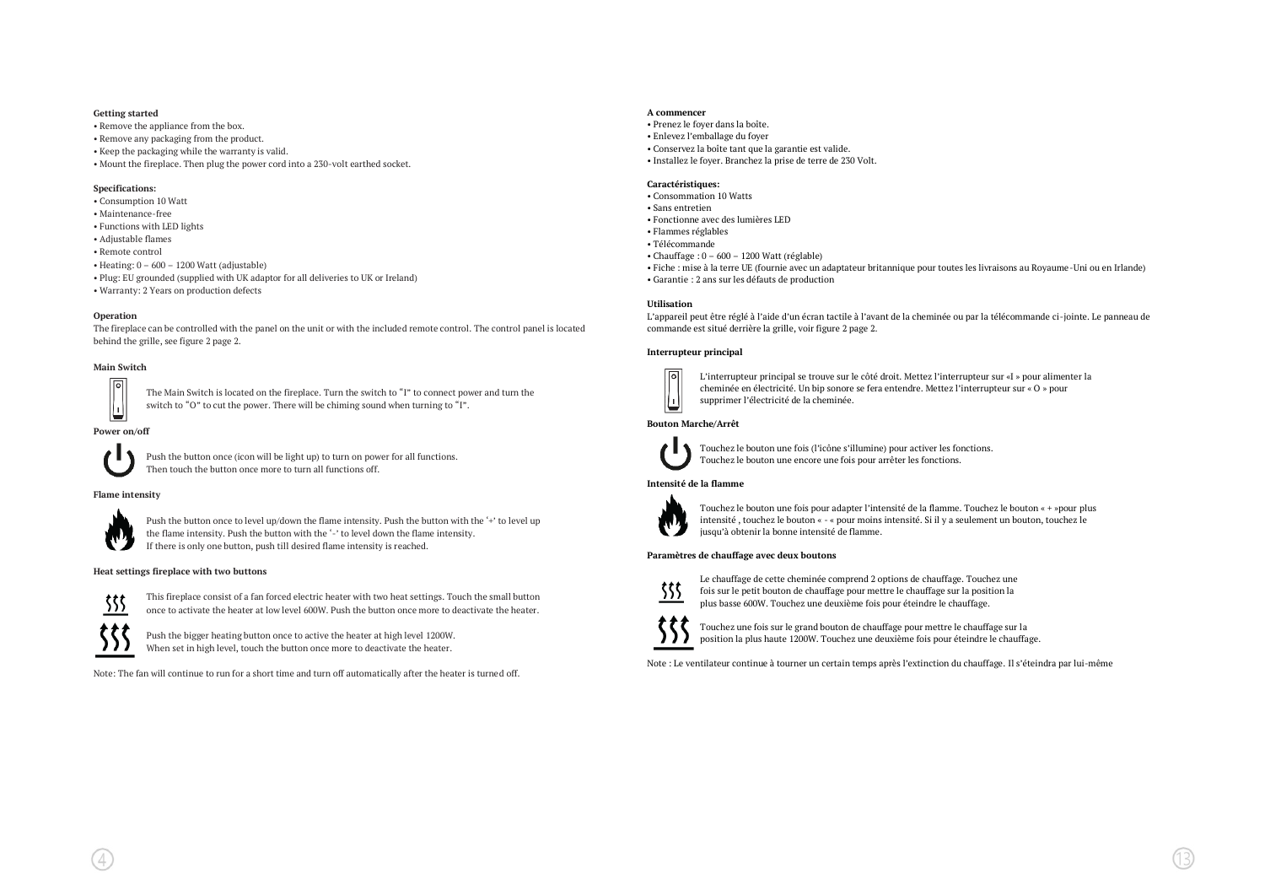# **Getting started**

- Remove the appliance from the box.
- Remove any packaging from the product.
- Keep the packaging while the warranty is valid.
- Mount the fireplace. Then plug the power cord into a 230-volt earthed socket.

# **Specifications:**

- Consumption 10 Watt
- Maintenance-free
- Functions with LED lights
- Adjustable flames
- Remote control
- Heating: 0 600 1200 Watt (adjustable)
- Plug: EU grounded (supplied with UK adaptor for all deliveries to UK or Ireland)
- Warranty: 2 Years on production defects

# **Operation**

The fireplace can be controlled with the panel on the unit or with the included remote control. The control panel is located behind the grille, see figure 2 page 2.

# **Main Switch**



The Main Switch is located on the fireplace. Turn the switch to "I" to connect power and turn the switch to "O" to cut the power. There will be chiming sound when turning to "I".

### **Power on/off**



Push the button once (icon will be light up) to turn on power for all functions. Then touch the button once more to turn all functions off.

# **Flame intensity**



Push the button once to level up/down the flame intensity. Push the button with the '+' to level up the flame intensity. Push the button with the '-' to level down the flame intensity. If there is only one button, push till desired flame intensity is reached.

#### **Heat settings fireplace with two buttons**



This fireplace consist of a fan forced electric heater with two heat settings. Touch the small button once to activate the heater at low level 600W. Push the button once more to deactivate the heater.

Push the bigger heating button once to active the heater at high level 1200W. When set in high level, touch the button once more to deactivate the heater.

Note: The fan will continue to run for a short time and turn off automatically after the heater is turned off.

# **A commencer**

- Prenez le foyer dans la boîte.
- Enlevez l'emballage du foyer
- Conservez la boîte tant que la garantie est valide.
- Installez le foyer. Branchez la prise de terre de 230 Volt.

# **Caractéristiques:**

- Consommation 10 Watts
- Sans entretien
- Fonctionne avec des lumières LED
- Flammes réglables
- Télécommande
- Chauffage : 0 600 1200 Watt (réglable)
- Fiche : mise à la terre UE (fournie avec un adaptateur britannique pour toutes les livraisons au Royaume-Uni ou en Irlande) • Garantie : 2 ans sur les défauts de production

# **Utilisation**

L'appareil peut être réglé à l'aide d'un écran tactile à l'avant de la cheminée ou par la télécommande ci-jointe. Le panneau de commande est situé derrière la grille, voir figure 2 page 2.

# **Interrupteur principal**



L'interrupteur principal se trouve sur le côté droit. Mettez l'interrupteur sur «I » pour alimenter la cheminée en électricité. Un bip sonore se fera entendre. Mettez l'interrupteur sur « O » pour supprimer l'électricité de la cheminée.

# **Bouton Marche/Arrêt**



Touchez le bouton une fois (l'icône s'illumine) pour activer les fonctions. Touchez le bouton une encore une fois pour arrêter les fonctions.

# **Intensité de la flamme**



Touchez le bouton une fois pour adapter l'intensité de la flamme. Touchez le bouton « + »pour plus intensité , touchez le bouton « - « pour moins intensité. Si il y a seulement un bouton, touchez le jusqu'à obtenir la bonne intensité de flamme.

# **Paramètres de chauffage avec deux boutons**



Le chauffage de cette cheminée comprend 2 options de chauffage. Touchez une fois sur le petit bouton de chauffage pour mettre le chauffage sur la position la plus basse 600W. Touchez une deuxième fois pour éteindre le chauffage.



Touchez une fois sur le grand bouton de chauffage pour mettre le chauffage sur la position la plus haute 1200W. Touchez une deuxième fois pour éteindre le chauffage.

Note : Le ventilateur continue à tourner un certain temps après l'extinction du chauffage. Il s'éteindra par lui-même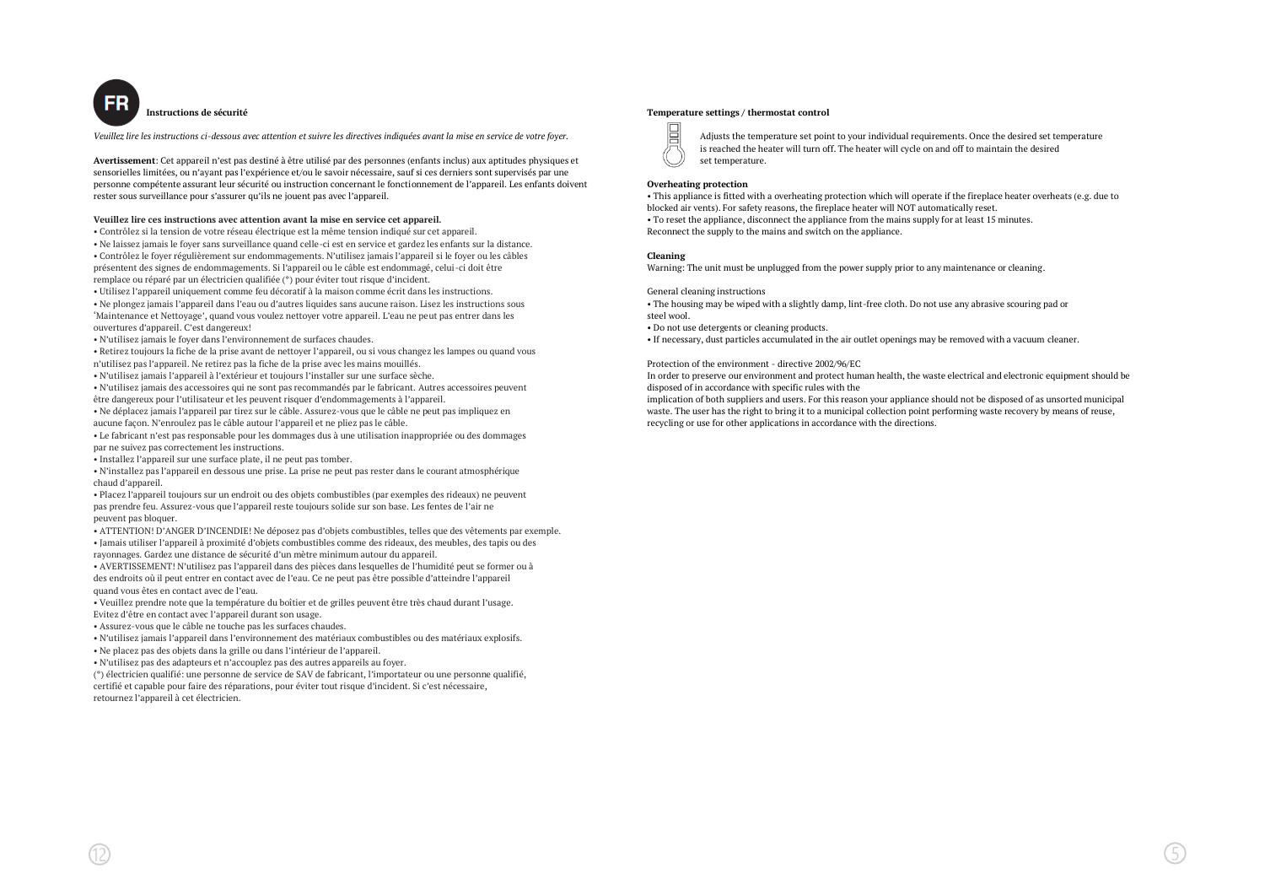

**Instructions de sécurité**

*Veuillez lire les instructions ci-dessous avec attention et suivre les directives indiquées avant la mise en service de votre foyer.*

**Avertissement**: Cet appareil n'est pas destiné à être utilisé par des personnes (enfants inclus) aux aptitudes physiques et sensorielles limitées, ou n'ayant pas l'expérience et/ou le savoir nécessaire, sauf si ces derniers sont supervisés par une personne compétente assurant leur sécurité ou instruction concernant le fonctionnement de l'appareil. Les enfants doivent rester sous surveillance pour s'assurer qu'ils ne jouent pas avec l'appareil.

# **Veuillez lire ces instructions avec attention avant la mise en service cet appareil.**

• Contrôlez si la tension de votre réseau électrique est la même tension indiqué sur cet appareil.

• Ne laissez jamais le foyer sans surveillance quand celle-ci est en service et gardez les enfants sur la distance. • Contrôlez le foyer régulièrement sur endommagements. N'utilisez jamais l'appareil si le foyer ou les câbles présentent des signes de endommagements. Si l'appareil ou le câble est endommagé, celui-ci doit être remplace ou réparé par un électricien qualifiée (\*) pour éviter tout risque d'incident.

• Utilisez l'appareil uniquement comme feu décoratif à la maison comme écrit dans les instructions.

• Ne plongez jamais l'appareil dans l'eau ou d'autres liquides sans aucune raison. Lisez les instructions sous 'Maintenance et Nettoyage', quand vous voulez nettoyer votre appareil. L'eau ne peut pas entrer dans les ouvertures d'appareil. C'est dangereux!

• N'utilisez jamais le foyer dans l'environnement de surfaces chaudes.

• Retirez toujours la fiche de la prise avant de nettoyer l'appareil, ou si vous changez les lampes ou quand vous n'utilisez pas l'appareil. Ne retirez pas la fiche de la prise avec les mains mouillés.

• N'utilisez jamais l'appareil à l'extérieur et toujours l'installer sur une surface sèche.

• N'utilisez jamais des accessoires qui ne sont pas recommandés par le fabricant. Autres accessoires peuvent être dangereux pour l'utilisateur et les peuvent risquer d'endommagements à l'appareil.

• Ne déplacez jamais l'appareil par tirez sur le câble. Assurez-vous que le câble ne peut pas impliquez en aucune façon. N'enroulez pas le câble autour l'appareil et ne pliez pas le câble.

• Le fabricant n'est pas responsable pour les dommages dus à une utilisation inappropriée ou des dommages par ne suivez pas correctement les instructions.

• Installez l'appareil sur une surface plate, il ne peut pas tomber.

• N'installez pas l'appareil en dessous une prise. La prise ne peut pas rester dans le courant atmosphérique chaud d'appareil.

• Placez l'appareil toujours sur un endroit ou des objets combustibles (par exemples des rideaux) ne peuvent pas prendre feu. Assurez-vous que l'appareil reste toujours solide sur son base. Les fentes de l'air ne peuvent pas bloquer.

• ATTENTION! D'ANGER D'INCENDIE! Ne déposez pas d'objets combustibles, telles que des vêtements par exemple. • Jamais utiliser l'appareil à proximité d'objets combustibles comme des rideaux, des meubles, des tapis ou des rayonnages. Gardez une distance de sécurité d'un mètre minimum autour du appareil.

• AVERTISSEMENT! N'utilisez pas l'appareil dans des pièces dans lesquelles de l'humidité peut se former ou à des endroits où il peut entrer en contact avec de l'eau. Ce ne peut pas être possible d'atteindre l'appareil quand vous êtes en contact avec de l'eau.

• Veuillez prendre note que la température du boîtier et de grilles peuvent être très chaud durant l'usage. Evitez d'être en contact avec l'appareil durant son usage.

• Assurez-vous que le câble ne touche pas les surfaces chaudes.

• N'utilisez jamais l'appareil dans l'environnement des matériaux combustibles ou des matériaux explosifs.

• Ne placez pas des objets dans la grille ou dans l'intérieur de l'appareil.

• N'utilisez pas des adapteurs et n'accouplez pas des autres appareils au foyer.

(\*) électricien qualifié: une personne de service de SAV de fabricant, l'importateur ou une personne qualifié,

certifié et capable pour faire des réparations, pour éviter tout risque d'incident. Si c'est nécessaire, retournez l'appareil à cet électricien.

#### **Temperature settings / thermostat control**

眉

Adjusts the temperature set point to your individual requirements. Once the desired set temperature is reached the heater will turn off. The heater will cycle on and off to maintain the desired set temperature.

# **Overheating protection**

• This appliance is fitted with a overheating protection which will operate if the fireplace heater overheats (e.g. due to blocked air vents). For safety reasons, the fireplace heater will NOT automatically reset. • To reset the appliance, disconnect the appliance from the mains supply for at least 15 minutes. Reconnect the supply to the mains and switch on the appliance.

### **Cleaning**

Warning: The unit must be unplugged from the power supply prior to any maintenance or cleaning.

#### General cleaning instructions

• The housing may be wiped with a slightly damp, lint-free cloth. Do not use any abrasive scouring pad or steel wool.

• Do not use detergents or cleaning products.

• If necessary, dust particles accumulated in the air outlet openings may be removed with a vacuum cleaner.

# Protection of the environment - directive 2002/96/EC

In order to preserve our environment and protect human health, the waste electrical and electronic equipment should be disposed of in accordance with specific rules with the

implication of both suppliers and users. For this reason your appliance should not be disposed of as unsorted municipal waste. The user has the right to bring it to a municipal collection point performing waste recovery by means of reuse, recycling or use for other applications in accordance with the directions.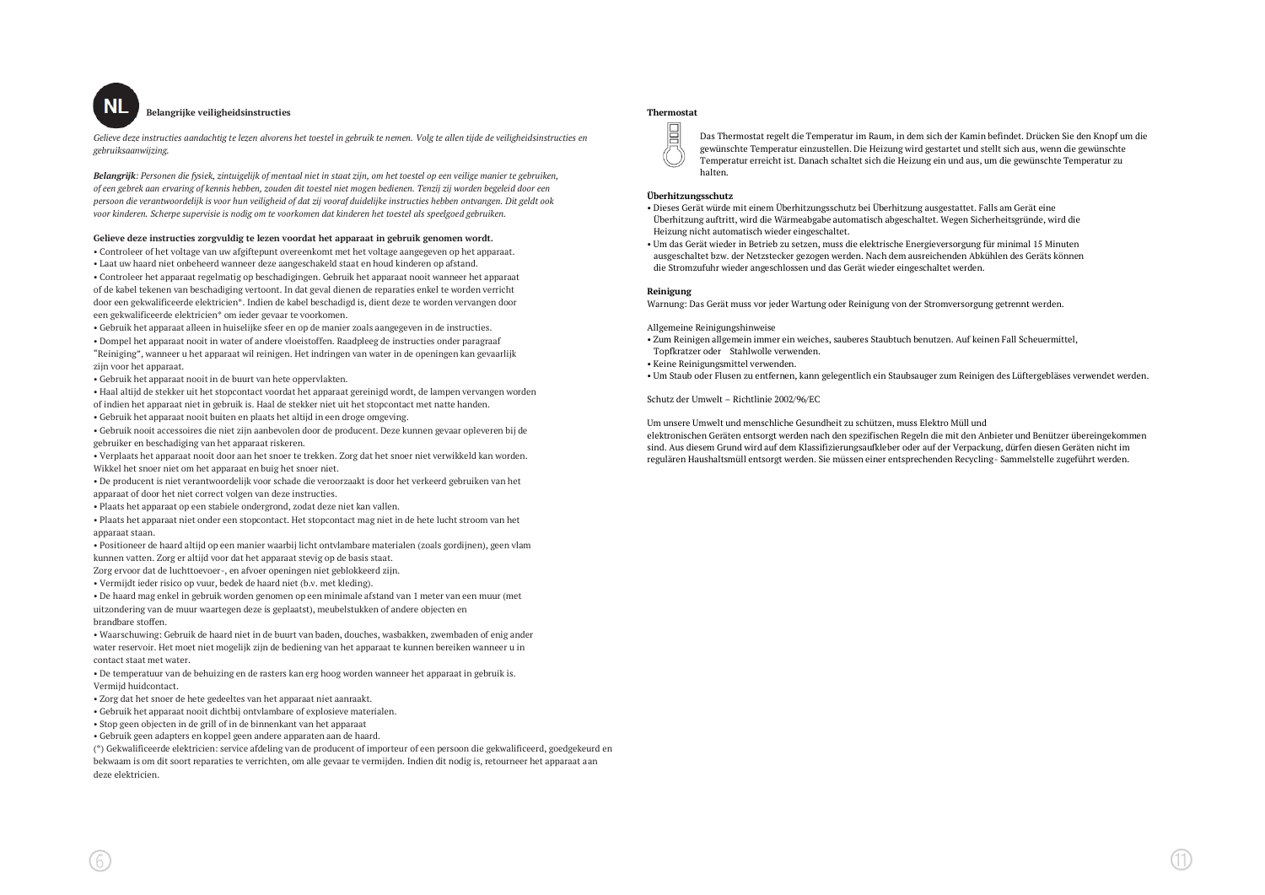

# **Belangrijke veiligheidsinstructies**

*Gelieve deze instructies aandachtig te lezen alvorens het toestel in gebruik te nemen. Volg te allen tijde de veiligheidsinstructies en gebruiksaanwijzing.*

*Belangrijk: Personen die fysiek, zintuigelijk of mentaal niet in staat zijn, om het toestel op een veilige manier te gebruiken, of een gebrek aan ervaring of kennis hebben, zouden dit toestel niet mogen bedienen. Tenzij zij worden begeleid door een persoon die verantwoordelijk is voor hun veiligheid of dat zij vooraf duidelijke instructies hebben ontvangen. Dit geldt ook voor kinderen. Scherpe supervisie is nodig om te voorkomen dat kinderen het toestel als speelgoed gebruiken.*

# **Gelieve deze instructies zorgvuldig te lezen voordat het apparaat in gebruik genomen wordt.**

• Controleer of het voltage van uw afgiftepunt overeenkomt met het voltage aangegeven op het apparaat.

• Laat uw haard niet onbeheerd wanneer deze aangeschakeld staat en houd kinderen op afstand.

• Controleer het apparaat regelmatig op beschadigingen. Gebruik het apparaat nooit wanneer het apparaat of de kabel tekenen van beschadiging vertoont. In dat geval dienen de reparaties enkel te worden verricht door een gekwalificeerde elektricien\*. Indien de kabel beschadigd is, dient deze te worden vervangen door een gekwalificeerde elektricien\* om ieder gevaar te voorkomen.

• Gebruik het apparaat alleen in huiselijke sfeer en op de manier zoals aangegeven in de instructies. • Dompel het apparaat nooit in water of andere vloeistoffen. Raadpleeg de instructies onder paragraaf "Reiniging", wanneer u het apparaat wil reinigen. Het indringen van water in de openingen kan gevaarlijk zijn voor het apparaat.

• Gebruik het apparaat nooit in de buurt van hete oppervlakten.

• Haal altijd de stekker uit het stopcontact voordat het apparaat gereinigd wordt, de lampen vervangen worden of indien het apparaat niet in gebruik is. Haal de stekker niet uit het stopcontact met natte handen.

• Gebruik het apparaat nooit buiten en plaats het altijd in een droge omgeving.

• Gebruik nooit accessoires die niet zijn aanbevolen door de producent. Deze kunnen gevaar opleveren bij de gebruiker en beschadiging van het apparaat riskeren.

• Verplaats het apparaat nooit door aan het snoer te trekken. Zorg dat het snoer niet verwikkeld kan worden. Wikkel het snoer niet om het apparaat en buig het snoer niet.

• De producent is niet verantwoordelijk voor schade die veroorzaakt is door het verkeerd gebruiken van het apparaat of door het niet correct volgen van deze instructies.

• Plaats het apparaat op een stabiele ondergrond, zodat deze niet kan vallen.

• Plaats het apparaat niet onder een stopcontact. Het stopcontact mag niet in de hete lucht stroom van het apparaat staan.

• Positioneer de haard altijd op een manier waarbij licht ontvlambare materialen (zoals gordijnen), geen vlam kunnen vatten. Zorg er altijd voor dat het apparaat stevig op de basis staat.

Zorg ervoor dat de luchttoevoer-, en afvoer openingen niet geblokkeerd zijn.

• Vermijdt ieder risico op vuur, bedek de haard niet (b.v. met kleding).

• De haard mag enkel in gebruik worden genomen op een minimale afstand van 1 meter van een muur (met uitzondering van de muur waartegen deze is geplaatst), meubelstukken of andere objecten en brandbare stoffen.

• Waarschuwing: Gebruik de haard niet in de buurt van baden, douches, wasbakken, zwembaden of enig ander water reservoir. Het moet niet mogelijk zijn de bediening van het apparaat te kunnen bereiken wanneer u in contact staat met water.

• De temperatuur van de behuizing en de rasters kan erg hoog worden wanneer het apparaat in gebruik is. Vermijd huidcontact.

• Zorg dat het snoer de hete gedeeltes van het apparaat niet aanraakt.

• Gebruik het apparaat nooit dichtbij ontvlambare of explosieve materialen.

• Stop geen objecten in de grill of in de binnenkant van het apparaat

• Gebruik geen adapters en koppel geen andere apparaten aan de haard.

(\*) Gekwalificeerde elektricien: service afdeling van de producent of importeur of een persoon die gekwalificeerd, goedgekeurd en bekwaam is om dit soort reparaties te verrichten, om alle gevaar te vermijden. Indien dit nodig is, retourneer het apparaat aan deze elektricien.

# **Thermostat**



Das Thermostat regelt die Temperatur im Raum, in dem sich der Kamin befindet. Drücken Sie den Knopf um die gewünschte Temperatur einzustellen. Die Heizung wird gestartet und stellt sich aus, wenn die gewünschte Temperatur erreicht ist. Danach schaltet sich die Heizung ein und aus, um die gewünschte Temperatur zu halten.

# **Überhitzungsschutz**

• Dieses Gerät würde mit einem Überhitzungsschutz bei Überhitzung ausgestattet. Falls am Gerät eine Überhitzung auftritt, wird die Wärmeabgabe automatisch abgeschaltet. Wegen Sicherheitsgründe, wird die Heizung nicht automatisch wieder eingeschaltet.

• Um das Gerät wieder in Betrieb zu setzen, muss die elektrische Energieversorgung für minimal 15 Minuten ausgeschaltet bzw. der Netzstecker gezogen werden. Nach dem ausreichenden Abkühlen des Geräts können die Stromzufuhr wieder angeschlossen und das Gerät wieder eingeschaltet werden.

#### **Reinigung**

Warnung: Das Gerät muss vor jeder Wartung oder Reinigung von der Stromversorgung getrennt werden.

### Allgemeine Reinigungshinweise

• Zum Reinigen allgemein immer ein weiches, sauberes Staubtuch benutzen. Auf keinen Fall Scheuermittel,

 Topfkratzer oder Stahlwolle verwenden. • Keine Reinigungsmittel verwenden.

• Um Staub oder Flusen zu entfernen, kann gelegentlich ein Staubsauger zum Reinigen des Lüftergebläses verwendet werden.

Schutz der Umwelt – Richtlinie 2002/96/EC

Um unsere Umwelt und menschliche Gesundheit zu schützen, muss Elektro Müll und

elektronischen Geräten entsorgt werden nach den spezifischen Regeln die mit den Anbieter und Benützer übereingekommen sind. Aus diesem Grund wird auf dem Klassifizierungsaufkleber oder auf der Verpackung, dürfen diesen Geräten nicht im regulären Haushaltsmüll entsorgt werden. Sie müssen einer entsprechenden Recycling- Sammelstelle zugeführt werden.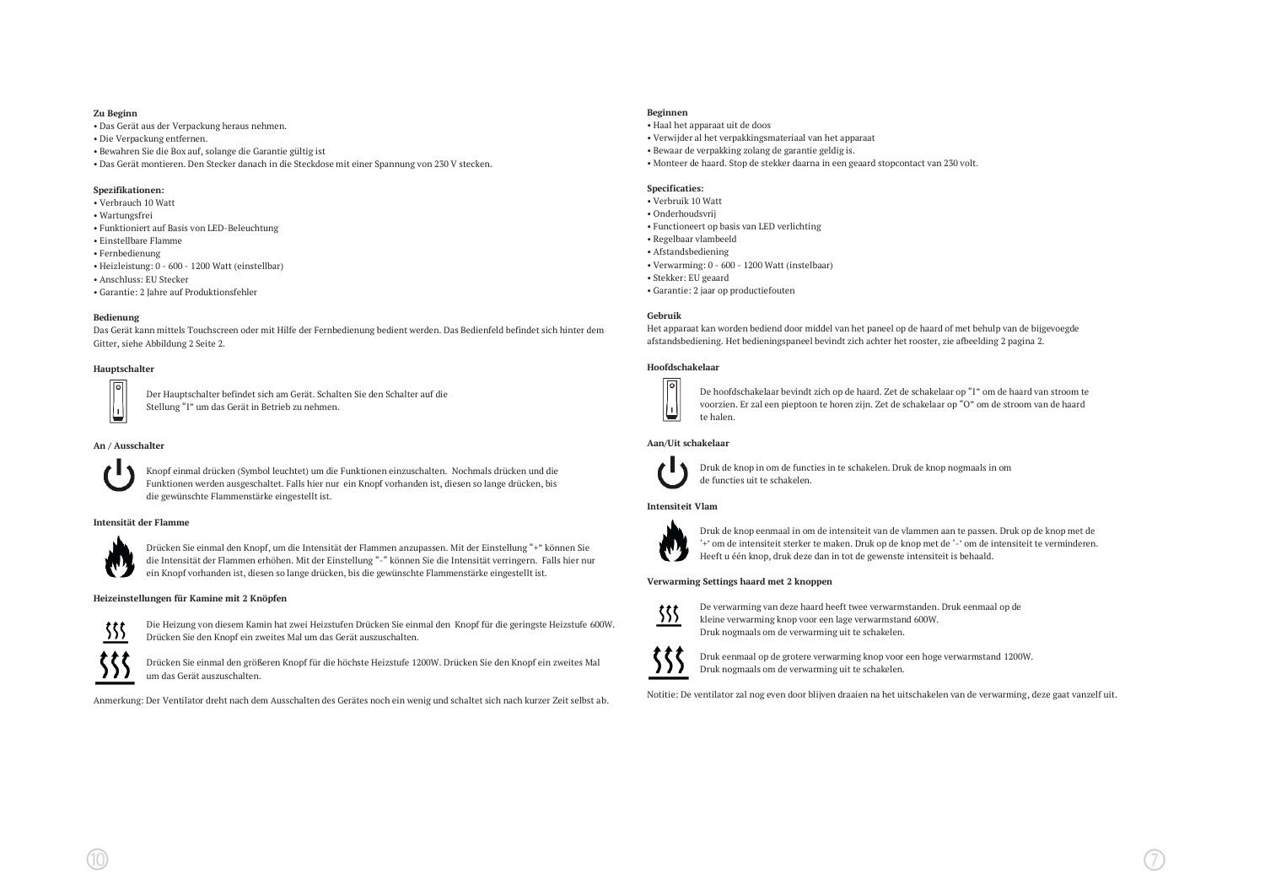# **Zu Beginn**

- Das Gerät aus der Verpackung heraus nehmen.
- Die Verpackung entfernen.
- Bewahren Sie die Box auf, solange die Garantie gültig ist
- Das Gerät montieren. Den Stecker danach in die Steckdose mit einer Spannung von 230 V stecken.

# **Spezifikationen:**

- Verbrauch 10 Watt
- Wartungsfrei
- Funktioniert auf Basis von LED-Beleuchtung
- Einstellbare Flamme
- Fernbedienung
- Heizleistung: 0 600 1200 Watt (einstellbar)
- Anschluss: EU Stecker
- Garantie: 2 Jahre auf Produktionsfehler

# **Bedienung**

Das Gerät kann mittels Touchscreen oder mit Hilfe der Fernbedienung bedient werden. Das Bedienfeld befindet sich hinter dem Gitter, siehe Abbildung 2 Seite 2.

# **Hauptschalter**

Der Hauptschalter befindet sich am Gerät. Schalten Sie den Schalter auf die Stellung "I" um das Gerät in Betrieb zu nehmen.

# **An / Ausschalter**



Knopf einmal drücken (Symbol leuchtet) um die Funktionen einzuschalten. Nochmals drücken und die Funktionen werden ausgeschaltet. Falls hier nur ein Knopf vorhanden ist, diesen so lange drücken, bis die gewünschte Flammenstärke eingestellt ist.

# **Intensität der Flamme**



Drücken Sie einmal den Knopf, um die Intensität der Flammen anzupassen. Mit der Einstellung "+" können Sie die Intensität der Flammen erhöhen. Mit der Einstellung "-" können Sie die Intensität verringern. Falls hier nur ein Knopf vorhanden ist, diesen so lange drücken, bis die gewünschte Flammenstärke eingestellt ist.

# **Heizeinstellungen für Kamine mit 2 Knöpfen**



Die Heizung von diesem Kamin hat zwei Heizstufen Drücken Sie einmal den Knopf für die geringste Heizstufe 600W. Drücken Sie den Knopf ein zweites Mal um das Gerät auszuschalten.

Drücken Sie einmal den größeren Knopf für die höchste Heizstufe 1200W. Drücken Sie den Knopf ein zweites Mal um das Gerät auszuschalten.

Anmerkung: Der Ventilator dreht nach dem Ausschalten des Gerätes noch ein wenig und schaltet sich nach kurzer Zeit selbst ab.

# **Beginnen**

# • Haal het apparaat uit de doos

- Verwijder al het verpakkingsmateriaal van het apparaat
- Bewaar de verpakking zolang de garantie geldig is.
- Monteer de haard. Stop de stekker daarna in een geaard stopcontact van 230 volt.

# **Specificaties:**

- Verbruik 10 Watt
- Onderhoudsvrij
- Functioneert op basis van LED verlichting
- Regelbaar vlambeeld
- Afstandsbediening
- Verwarming: 0 600 1200 Watt (instelbaar)
- Stekker: EU geaard
- Garantie: 2 jaar op productiefouten

# **Gebruik**

Het apparaat kan worden bediend door middel van het paneel op de haard of met behulp van de bijgevoegde afstandsbediening. Het bedieningspaneel bevindt zich achter het rooster, zie afbeelding 2 pagina 2.

# **Hoofdschakelaar**



De hoofdschakelaar bevindt zich op de haard. Zet de schakelaar op "I" om de haard van stroom te voorzien. Er zal een pieptoon te horen zijn. Zet de schakelaar op "O" om de stroom van de haard te halen.

# **Aan/Uit schakelaar**



Druk de knop in om de functies in te schakelen. Druk de knop nogmaals in om de functies uit te schakelen.

# **Intensiteit Vlam**



Druk de knop eenmaal in om de intensiteit van de vlammen aan te passen. Druk op de knop met de '+' om de intensiteit sterker te maken. Druk op de knop met de '-' om de intensiteit te verminderen. Heeft u één knop, druk deze dan in tot de gewenste intensiteit is behaald.

# **Verwarming Settings haard met 2 knoppen**



De verwarming van deze haard heeft twee verwarmstanden. Druk eenmaal op de kleine verwarming knop voor een lage verwarmstand 600W. Druk nogmaals om de verwarming uit te schakelen.



Druk eenmaal op de grotere verwarming knop voor een hoge verwarmstand 1200W. Druk nogmaals om de verwarming uit te schakelen.

Notitie: De ventilator zal nog even door blijven draaien na het uitschakelen van de verwarming, deze gaat vanzelf uit.